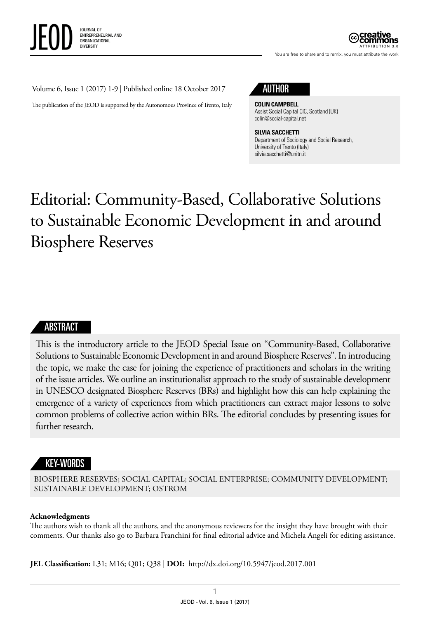You are free to share and to remix, you must attribute the work

#### Volume 6, Issue 1 (2017) 1-9 | Published online 18 October 2017

The publication of the JEOD is supported by the Autonomous Province of Trento, Italy

## AUTHOR

**COLIN CAMPBELL** Assist Social Capital CIC, Scotland (UK) [colin@social-capital.net](mailto:colin@social-capital.net)

**SILVIA SACCHETTI** Department of Sociology and Social Research, University of Trento (Italy) [silvia.sacchetti@unitn.it](mailto:silvia.sacchetti@unitn.it)

# Editorial: Community-Based, Collaborative Solutions to Sustainable Economic Development in and around Biosphere Reserves

#### ABSTRACT

This is the introductory article to the JEOD Special Issue on "Community-Based, Collaborative Solutions to Sustainable Economic Development in and around Biosphere Reserves". In introducing the topic, we make the case for joining the experience of practitioners and scholars in the writing of the issue articles. We outline an institutionalist approach to the study of sustainable development in UNESCO designated Biosphere Reserves (BRs) and highlight how this can help explaining the emergence of a variety of experiences from which practitioners can extract major lessons to solve common problems of collective action within BRs. The editorial concludes by presenting issues for further research.

#### KEY-WORDS

BIOSPHERE RESERVES; SOCIAL CAPITAL; SOCIAL ENTERPRISE; COMMUNITY DEVELOPMENT; SUSTAINABLE DEVELOPMENT; OSTROM

#### **Acknowledgments**

The authors wish to thank all the authors, and the anonymous reviewers for the insight they have brought with their comments. Our thanks also go to Barbara Franchini for final editorial advice and Michela Angeli for editing assistance.

**JEL Classification:** L31; M16; Q01; Q38 | **DOI:** <http://dx.doi.org/10.5947/jeod.2017.001>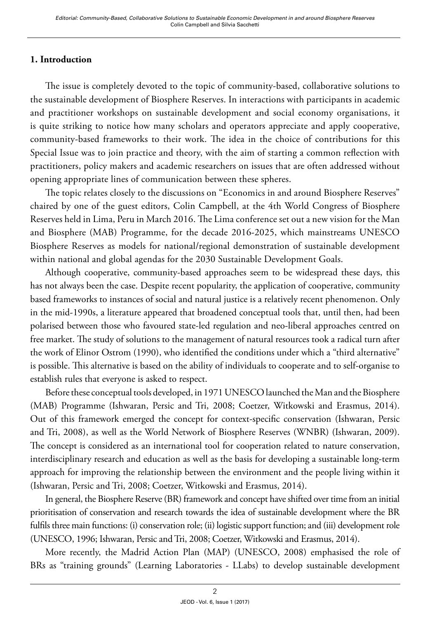## **1. Introduction**

The issue is completely devoted to the topic of community-based, collaborative solutions to the sustainable development of Biosphere Reserves. In interactions with participants in academic and practitioner workshops on sustainable development and social economy organisations, it is quite striking to notice how many scholars and operators appreciate and apply cooperative, community-based frameworks to their work. The idea in the choice of contributions for this Special Issue was to join practice and theory, with the aim of starting a common reflection with practitioners, policy makers and academic researchers on issues that are often addressed without opening appropriate lines of communication between these spheres.

The topic relates closely to the discussions on "Economics in and around Biosphere Reserves" chaired by one of the guest editors, Colin Campbell, at the 4th World Congress of Biosphere Reserves held in Lima, Peru in March 2016. The Lima conference set out a new vision for the Man and Biosphere (MAB) Programme, for the decade 2016-2025, which mainstreams UNESCO Biosphere Reserves as models for national/regional demonstration of sustainable development within national and global agendas for the 2030 Sustainable Development Goals.

Although cooperative, community-based approaches seem to be widespread these days, this has not always been the case. Despite recent popularity, the application of cooperative, community based frameworks to instances of social and natural justice is a relatively recent phenomenon. Only in the mid-1990s, a literature appeared that broadened conceptual tools that, until then, had been polarised between those who favoured state-led regulation and neo-liberal approaches centred on free market. The study of solutions to the management of natural resources took a radical turn after the work of Elinor Ostrom (1990), who identified the conditions under which a "third alternative" is possible. This alternative is based on the ability of individuals to cooperate and to self-organise to establish rules that everyone is asked to respect.

Before these conceptual tools developed, in 1971 UNESCO launched the Man and the Biosphere (MAB) Programme (Ishwaran, Persic and Tri, 2008; Coetzer, Witkowski and Erasmus, 2014). Out of this framework emerged the concept for context-specific conservation (Ishwaran, Persic and Tri, 2008), as well as the World Network of Biosphere Reserves (WNBR) (Ishwaran, 2009). The concept is considered as an international tool for cooperation related to nature conservation, interdisciplinary research and education as well as the basis for developing a sustainable long-term approach for improving the relationship between the environment and the people living within it (Ishwaran, Persic and Tri, 2008; Coetzer, Witkowski and Erasmus, 2014).

In general, the Biosphere Reserve (BR) framework and concept have shifted over time from an initial prioritisation of conservation and research towards the idea of sustainable development where the BR fulfils three main functions: (i) conservation role; (ii) logistic support function; and (iii) development role (UNESCO, 1996; Ishwaran, Persic and Tri, 2008; Coetzer, Witkowski and Erasmus, 2014).

More recently, the Madrid Action Plan (MAP) (UNESCO, 2008) emphasised the role of BRs as "training grounds" (Learning Laboratories - LLabs) to develop sustainable development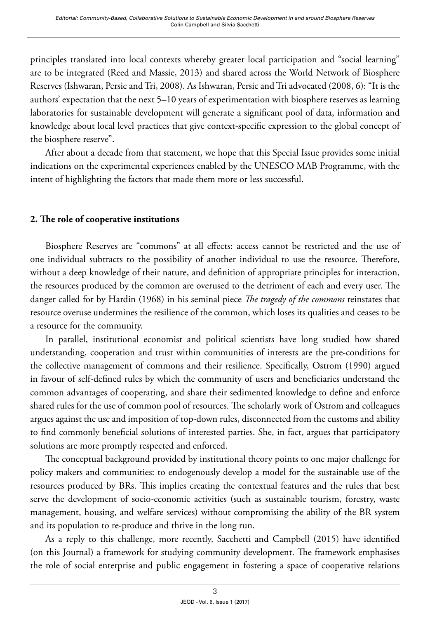principles translated into local contexts whereby greater local participation and "social learning" are to be integrated (Reed and Massie, 2013) and shared across the World Network of Biosphere Reserves (Ishwaran, Persic and Tri, 2008). As Ishwaran, Persic and Tri advocated (2008, 6): "It is the authors' expectation that the next 5–10 years of experimentation with biosphere reserves as learning laboratories for sustainable development will generate a significant pool of data, information and knowledge about local level practices that give context-specific expression to the global concept of the biosphere reserve".

After about a decade from that statement, we hope that this Special Issue provides some initial indications on the experimental experiences enabled by the UNESCO MAB Programme, with the intent of highlighting the factors that made them more or less successful.

## **2. The role of cooperative institutions**

Biosphere Reserves are "commons" at all effects: access cannot be restricted and the use of one individual subtracts to the possibility of another individual to use the resource. Therefore, without a deep knowledge of their nature, and definition of appropriate principles for interaction, the resources produced by the common are overused to the detriment of each and every user. The danger called for by Hardin (1968) in his seminal piece *The tragedy of the commons* reinstates that resource overuse undermines the resilience of the common, which loses its qualities and ceases to be a resource for the community.

In parallel, institutional economist and political scientists have long studied how shared understanding, cooperation and trust within communities of interests are the pre-conditions for the collective management of commons and their resilience. Specifically, Ostrom (1990) argued in favour of self-defined rules by which the community of users and beneficiaries understand the common advantages of cooperating, and share their sedimented knowledge to define and enforce shared rules for the use of common pool of resources. The scholarly work of Ostrom and colleagues argues against the use and imposition of top-down rules, disconnected from the customs and ability to find commonly beneficial solutions of interested parties. She, in fact, argues that participatory solutions are more promptly respected and enforced.

The conceptual background provided by institutional theory points to one major challenge for policy makers and communities: to endogenously develop a model for the sustainable use of the resources produced by BRs. This implies creating the contextual features and the rules that best serve the development of socio-economic activities (such as sustainable tourism, forestry, waste management, housing, and welfare services) without compromising the ability of the BR system and its population to re-produce and thrive in the long run.

As a reply to this challenge, more recently, Sacchetti and Campbell (2015) have identified (on this Journal) a framework for studying community development. The framework emphasises the role of social enterprise and public engagement in fostering a space of cooperative relations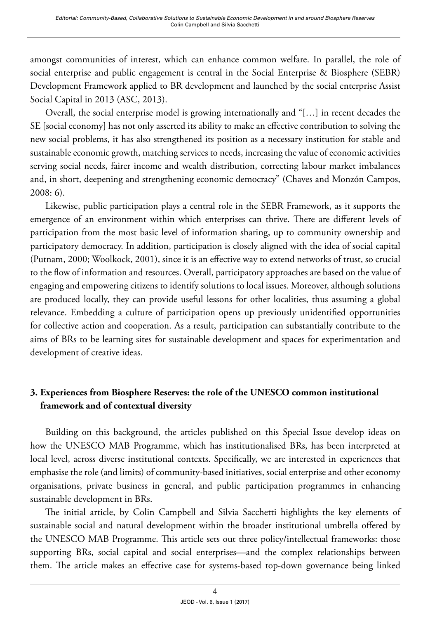amongst communities of interest, which can enhance common welfare. In parallel, the role of social enterprise and public engagement is central in the Social Enterprise & Biosphere (SEBR) Development Framework applied to BR development and launched by the social enterprise Assist Social Capital in 2013 (ASC, 2013).

Overall, the social enterprise model is growing internationally and "[…] in recent decades the SE [social economy] has not only asserted its ability to make an effective contribution to solving the new social problems, it has also strengthened its position as a necessary institution for stable and sustainable economic growth, matching services to needs, increasing the value of economic activities serving social needs, fairer income and wealth distribution, correcting labour market imbalances and, in short, deepening and strengthening economic democracy" (Chaves and Monzón Campos, 2008: 6).

Likewise, public participation plays a central role in the SEBR Framework, as it supports the emergence of an environment within which enterprises can thrive. There are different levels of participation from the most basic level of information sharing, up to community ownership and participatory democracy. In addition, participation is closely aligned with the idea of social capital (Putnam, 2000; Woolkock, 2001), since it is an effective way to extend networks of trust, so crucial to the flow of information and resources. Overall, participatory approaches are based on the value of engaging and empowering citizens to identify solutions to local issues. Moreover, although solutions are produced locally, they can provide useful lessons for other localities, thus assuming a global relevance. Embedding a culture of participation opens up previously unidentified opportunities for collective action and cooperation. As a result, participation can substantially contribute to the aims of BRs to be learning sites for sustainable development and spaces for experimentation and development of creative ideas.

# **3. Experiences from Biosphere Reserves: the role of the UNESCO common institutional framework and of contextual diversity**

Building on this background, the articles published on this Special Issue develop ideas on how the UNESCO MAB Programme, which has institutionalised BRs, has been interpreted at local level, across diverse institutional contexts. Specifically, we are interested in experiences that emphasise the role (and limits) of community-based initiatives, social enterprise and other economy organisations, private business in general, and public participation programmes in enhancing sustainable development in BRs.

The initial article, by Colin Campbell and Silvia Sacchetti highlights the key elements of sustainable social and natural development within the broader institutional umbrella offered by the UNESCO MAB Programme. This article sets out three policy/intellectual frameworks: those supporting BRs, social capital and social enterprises—and the complex relationships between them. The article makes an effective case for systems-based top-down governance being linked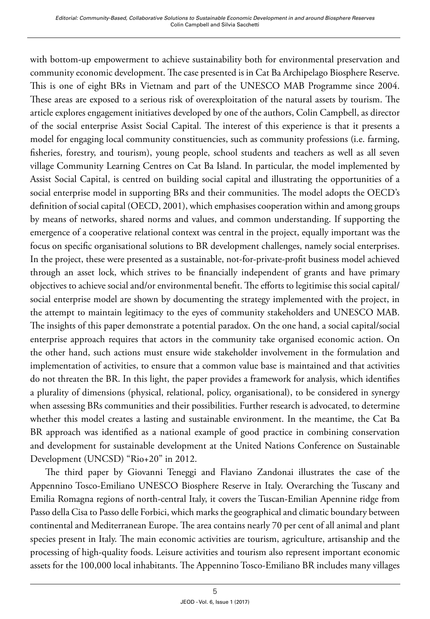with bottom-up empowerment to achieve sustainability both for environmental preservation and community economic development. The case presented is in Cat Ba Archipelago Biosphere Reserve. This is one of eight BRs in Vietnam and part of the UNESCO MAB Programme since 2004. These areas are exposed to a serious risk of overexploitation of the natural assets by tourism. The article explores engagement initiatives developed by one of the authors, Colin Campbell, as director of the social enterprise Assist Social Capital. The interest of this experience is that it presents a model for engaging local community constituencies, such as community professions (i.e. farming, fisheries, forestry, and tourism), young people, school students and teachers as well as all seven village Community Learning Centres on Cat Ba Island. In particular, the model implemented by Assist Social Capital, is centred on building social capital and illustrating the opportunities of a social enterprise model in supporting BRs and their communities. The model adopts the OECD's definition of social capital (OECD, 2001), which emphasises cooperation within and among groups by means of networks, shared norms and values, and common understanding. If supporting the emergence of a cooperative relational context was central in the project, equally important was the focus on specific organisational solutions to BR development challenges, namely social enterprises. In the project, these were presented as a sustainable, not-for-private-profit business model achieved through an asset lock, which strives to be financially independent of grants and have primary objectives to achieve social and/or environmental benefit. The efforts to legitimise this social capital/ social enterprise model are shown by documenting the strategy implemented with the project, in the attempt to maintain legitimacy to the eyes of community stakeholders and UNESCO MAB. The insights of this paper demonstrate a potential paradox. On the one hand, a social capital/social enterprise approach requires that actors in the community take organised economic action. On the other hand, such actions must ensure wide stakeholder involvement in the formulation and implementation of activities, to ensure that a common value base is maintained and that activities do not threaten the BR. In this light, the paper provides a framework for analysis, which identifies a plurality of dimensions (physical, relational, policy, organisational), to be considered in synergy when assessing BRs communities and their possibilities. Further research is advocated, to determine whether this model creates a lasting and sustainable environment. In the meantime, the Cat Ba BR approach was identified as a national example of good practice in combining conservation and development for sustainable development at the United Nations Conference on Sustainable Development (UNCSD) "Rio+20" in 2012.

The third paper by Giovanni Teneggi and Flaviano Zandonai illustrates the case of the Appennino Tosco-Emiliano UNESCO Biosphere Reserve in Italy. Overarching the Tuscany and Emilia Romagna regions of north-central Italy, it covers the Tuscan-Emilian Apennine ridge from Passo della Cisa to Passo delle Forbici, which marks the geographical and climatic boundary between continental and Mediterranean Europe. The area contains nearly 70 per cent of all animal and plant species present in Italy. The main economic activities are tourism, agriculture, artisanship and the processing of high-quality foods. Leisure activities and tourism also represent important economic assets for the 100,000 local inhabitants. The Appennino Tosco-Emiliano BR includes many villages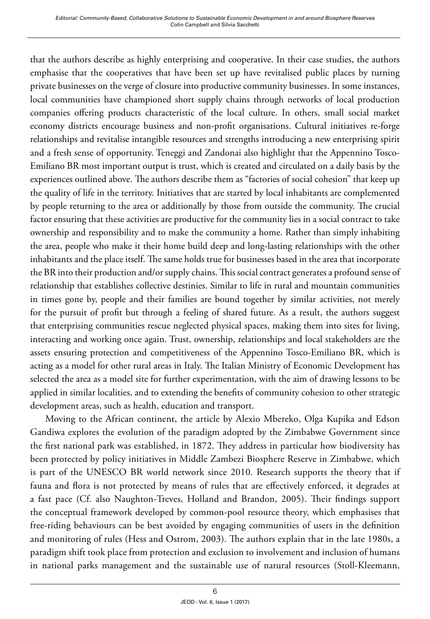that the authors describe as highly enterprising and cooperative. In their case studies, the authors emphasise that the cooperatives that have been set up have revitalised public places by turning private businesses on the verge of closure into productive community businesses. In some instances, local communities have championed short supply chains through networks of local production companies offering products characteristic of the local culture. In others, small social market economy districts encourage business and non-profit organisations. Cultural initiatives re-forge relationships and revitalise intangible resources and strengths introducing a new enterprising spirit and a fresh sense of opportunity. Teneggi and Zandonai also highlight that the Appennino Tosco-Emiliano BR most important output is trust, which is created and circulated on a daily basis by the experiences outlined above. The authors describe them as "factories of social cohesion" that keep up the quality of life in the territory. Initiatives that are started by local inhabitants are complemented by people returning to the area or additionally by those from outside the community. The crucial factor ensuring that these activities are productive for the community lies in a social contract to take ownership and responsibility and to make the community a home. Rather than simply inhabiting the area, people who make it their home build deep and long-lasting relationships with the other inhabitants and the place itself. The same holds true for businesses based in the area that incorporate the BR into their production and/or supply chains. This social contract generates a profound sense of relationship that establishes collective destinies. Similar to life in rural and mountain communities in times gone by, people and their families are bound together by similar activities, not merely for the pursuit of profit but through a feeling of shared future. As a result, the authors suggest that enterprising communities rescue neglected physical spaces, making them into sites for living, interacting and working once again. Trust, ownership, relationships and local stakeholders are the assets ensuring protection and competitiveness of the Appennino Tosco-Emiliano BR, which is acting as a model for other rural areas in Italy. The Italian Ministry of Economic Development has selected the area as a model site for further experimentation, with the aim of drawing lessons to be applied in similar localities, and to extending the benefits of community cohesion to other strategic development areas, such as health, education and transport.

Moving to the African continent, the article by Alexio Mbereko, Olga Kupika and Edson Gandiwa explores the evolution of the paradigm adopted by the Zimbabwe Government since the first national park was established, in 1872. They address in particular how biodiversity has been protected by policy initiatives in Middle Zambezi Biosphere Reserve in Zimbabwe, which is part of the UNESCO BR world network since 2010. Research supports the theory that if fauna and flora is not protected by means of rules that are effectively enforced, it degrades at a fast pace (Cf. also Naughton-Treves, Holland and Brandon, 2005). Their findings support the conceptual framework developed by common-pool resource theory, which emphasises that free-riding behaviours can be best avoided by engaging communities of users in the definition and monitoring of rules (Hess and Ostrom, 2003). The authors explain that in the late 1980s, a paradigm shift took place from protection and exclusion to involvement and inclusion of humans in national parks management and the sustainable use of natural resources (Stoll-Kleemann,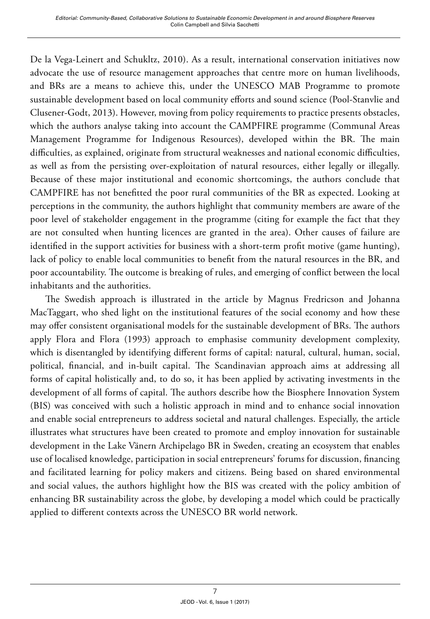De la Vega-Leinert and Schukltz, 2010). As a result, international conservation initiatives now advocate the use of resource management approaches that centre more on human livelihoods, and BRs are a means to achieve this, under the UNESCO MAB Programme to promote sustainable development based on local community efforts and sound science (Pool-Stanvlie and Clusener-Godt, 2013). However, moving from policy requirements to practice presents obstacles, which the authors analyse taking into account the CAMPFIRE programme (Communal Areas Management Programme for Indigenous Resources), developed within the BR. The main difficulties, as explained, originate from structural weaknesses and national economic difficulties, as well as from the persisting over-exploitation of natural resources, either legally or illegally. Because of these major institutional and economic shortcomings, the authors conclude that CAMPFIRE has not benefitted the poor rural communities of the BR as expected. Looking at perceptions in the community, the authors highlight that community members are aware of the poor level of stakeholder engagement in the programme (citing for example the fact that they are not consulted when hunting licences are granted in the area). Other causes of failure are identified in the support activities for business with a short-term profit motive (game hunting), lack of policy to enable local communities to benefit from the natural resources in the BR, and poor accountability. The outcome is breaking of rules, and emerging of conflict between the local inhabitants and the authorities.

The Swedish approach is illustrated in the article by Magnus Fredricson and Johanna MacTaggart, who shed light on the institutional features of the social economy and how these may offer consistent organisational models for the sustainable development of BRs. The authors apply Flora and Flora (1993) approach to emphasise community development complexity, which is disentangled by identifying different forms of capital: natural, cultural, human, social, political, financial, and in-built capital. The Scandinavian approach aims at addressing all forms of capital holistically and, to do so, it has been applied by activating investments in the development of all forms of capital. The authors describe how the Biosphere Innovation System (BIS) was conceived with such a holistic approach in mind and to enhance social innovation and enable social entrepreneurs to address societal and natural challenges. Especially, the article illustrates what structures have been created to promote and employ innovation for sustainable development in the Lake Vänern Archipelago BR in Sweden, creating an ecosystem that enables use of localised knowledge, participation in social entrepreneurs' forums for discussion, financing and facilitated learning for policy makers and citizens. Being based on shared environmental and social values, the authors highlight how the BIS was created with the policy ambition of enhancing BR sustainability across the globe, by developing a model which could be practically applied to different contexts across the UNESCO BR world network.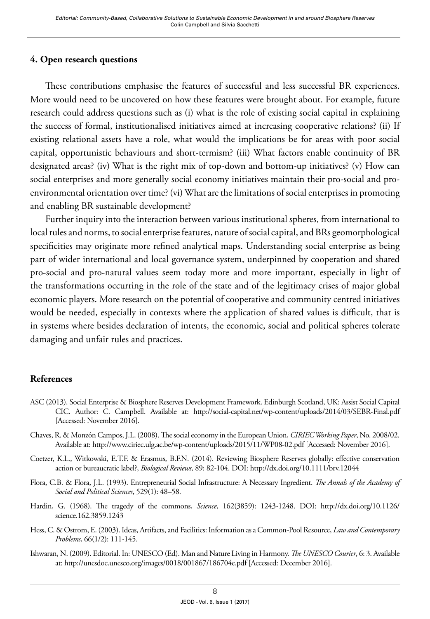### **4. Open research questions**

These contributions emphasise the features of successful and less successful BR experiences. More would need to be uncovered on how these features were brought about. For example, future research could address questions such as (i) what is the role of existing social capital in explaining the success of formal, institutionalised initiatives aimed at increasing cooperative relations? (ii) If existing relational assets have a role, what would the implications be for areas with poor social capital, opportunistic behaviours and short-termism? (iii) What factors enable continuity of BR designated areas? (iv) What is the right mix of top-down and bottom-up initiatives? (v) How can social enterprises and more generally social economy initiatives maintain their pro-social and proenvironmental orientation over time? (vi) What are the limitations of social enterprises in promoting and enabling BR sustainable development?

Further inquiry into the interaction between various institutional spheres, from international to local rules and norms, to social enterprise features, nature of social capital, and BRs geomorphological specificities may originate more refined analytical maps. Understanding social enterprise as being part of wider international and local governance system, underpinned by cooperation and shared pro-social and pro-natural values seem today more and more important, especially in light of the transformations occurring in the role of the state and of the legitimacy crises of major global economic players. More research on the potential of cooperative and community centred initiatives would be needed, especially in contexts where the application of shared values is difficult, that is in systems where besides declaration of intents, the economic, social and political spheres tolerate damaging and unfair rules and practices.

#### **References**

- ASC (2013). Social Enterprise & Biosphere Reserves Development Framework. Edinburgh Scotland, UK: Assist Social Capital CIC. Author: C. Campbell. Available at: <http://social-capital.net/wp-content/uploads/2014/03/SEBR-Final.pdf> [Accessed: November 2016].
- Chaves, R. & Monzón Campos, J.L. (2008). The social economy in the European Union, *CIRIEC Working Paper*, No. 2008/02. Available at: http://www.ciriec.ulg.ac.be/wp-content/uploads/2015/11/WP08-02.pdf [Accessed: November 2016].
- Coetzer, K.L., Witkowski, E.T.F. & Erasmus, B.F.N. (2014). Reviewing Biosphere Reserves globally: effective conservation action or bureaucratic label?, *Biological Reviews*, 89: 82-104. DOI: http://dx.doi.org/10.1111/brv.12044
- Flora, C.B. & Flora, J.L. (1993). Entrepreneurial Social Infrastructure: A Necessary Ingredient. *The Annals of the Academy of Social and Political Sciences*, 529(1): 48–58.
- Hardin, G. (1968). The tragedy of the commons, *Science*, 162(3859): 1243-1248. DOI: [http://dx.doi.org/10.1126/](http://dx.doi.org/10.1126/science.162.3859.1243) [science.162.3859.1243](http://dx.doi.org/10.1126/science.162.3859.1243)
- Hess, C. & Ostrom, E. (2003). Ideas, Artifacts, and Facilities: Information as a Common-Pool Resource, *Law and Contemporary Problems*, 66(1/2): 111-145.
- Ishwaran, N. (2009). Editorial. In: UNESCO (Ed). Man and Nature Living in Harmony. *The UNESCO Courier*, 6: 3. Available at: http://unesdoc.unesco.org/images/0018/001867/186704e.pdf [Accessed: December 2016].